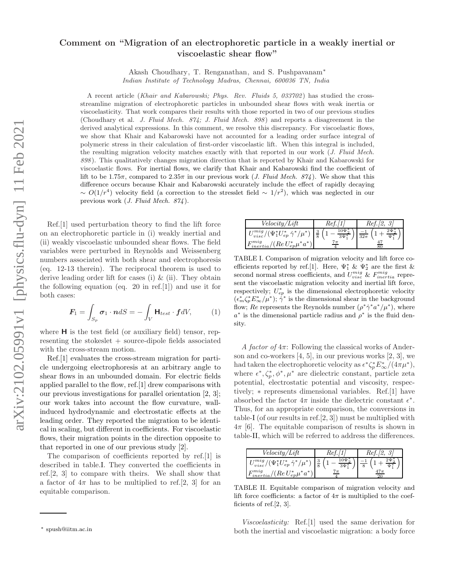## Comment on "Migration of an electrophoretic particle in a weakly inertial or viscoelastic shear flow"

Akash Choudhary, T. Renganathan, and S. Pushpavanam<sup>∗</sup>

*Indian Institute of Technology Madras, Chennai, 600036 TN, India*

A recent article (*Khair and Kabarowski; Phys. Rev. Fluids 5, 033702* ) has studied the crossstreamline migration of electrophoretic particles in unbounded shear flows with weak inertia or viscoelasticity. That work compares their results with those reported in two of our previous studies (Choudhary et al. *J. Fluid Mech. 874; J. Fluid Mech. 898* ) and reports a disagreement in the derived analytical expressions. In this comment, we resolve this discrepancy. For viscoelastic flows, we show that Khair and Kabarowski have not accounted for a leading order surface integral of polymeric stress in their calculation of first-order viscoelastic lift. When this integral is included, the resulting migration velocity matches exactly with that reported in our work (*J. Fluid Mech. 898* ). This qualitatively changes migration direction that is reported by Khair and Kabarowski for viscoelastic flows. For inertial flows, we clarify that Khair and Kabarowski find the coefficient of lift to be 1.75 $\pi$ , compared to 2.35 $\pi$  in our previous work (*J. Fluid Mech. 874*). We show that this difference occurs because Khair and Kabarowski accurately include the effect of rapidly decaying  $\sim O(1/r^4)$  velocity field (a correction to the stresslet field  $\sim 1/r^2$ ), which was neglected in our previous work (*J. Fluid Mech. 874* ).

Ref.[1] used perturbation theory to find the lift force on an electrophoretic particle in (i) weakly inertial and (ii) weakly viscoelastic unbounded shear flows. The field variables were perturbed in Reynolds and Weissenberg numbers associated with both shear and electrophoresis (eq. 12-13 therein). The reciprocal theorem is used to derive leading order lift for cases (i) & (ii). They obtain the following equation (eq. 20 in ref.[1]) and use it for both cases:

$$
\boldsymbol{F}_1 = \int_{S_p} \boldsymbol{\sigma}_1 \cdot \boldsymbol{n} dS = -\int_V \mathbf{H}_{test} \cdot \boldsymbol{f} dV, \qquad (1)
$$

where  $H$  is the test field (or auxiliary field) tensor, representing the stokeslet + source-dipole fields associated with the cross-stream motion.

Ref.[1] evaluates the cross-stream migration for particle undergoing electrophoresis at an arbitrary angle to shear flows in an unbounded domain. For electric fields applied parallel to the flow, ref.[1] drew comparisons with our previous investigations for parallel orientation [2, 3]; our work takes into account the flow curvature, wallinduced hydrodynamic and electrostatic effects at the leading order. They reported the migration to be identical in scaling, but different in coefficients. For viscoelastic flows, their migration points in the direction opposite to that reported in one of our previous study [2].

The comparison of coefficients reported by ref.[1] is described in table.I. They converted the coefficients in ref.[2, 3] to compare with theirs. We shall show that a factor of  $4\pi$  has to be multiplied to ref.[2, 3] for an equitable comparison.

| Velocity/Lift                                                | кeј                                           | Ref     |
|--------------------------------------------------------------|-----------------------------------------------|---------|
| $/(\Psi_{1}^{*}U_{ep}^{*}\dot{\gamma}^{*}/\mu^{*})$<br>visc/ | $10\Psi$ :<br>$\Omega$<br>Ő<br>$\overline{8}$ | $32\pi$ |
| $(Re\,U_{ep}^*\mu^*a)$                                       |                                               |         |

TABLE I. Comparison of migration velocity and lift force coefficients reported by ref.[1]. Here,  $\Psi_1^* \& \Psi_2^*$  are the first & second normal stress coefficients, and  $U_{visc}^{mig}$  &  $F_{inertia}^{mig}$  represent the viscoelastic migration velocity and inertial lift force, respectively;  $U_{ep}^*$  is the dimensional electrophoretic velocity  $(\epsilon_m^* \zeta_p^* E_{\infty}^*/\mu^*); \dot{\gamma}^*$  is the dimensional shear in the background flow; Re represents the Reynolds number  $(\rho^* \dot{\gamma}^* a^* / \mu^*)$ , where  $a^*$  is the dimensional particle radius and  $\rho^*$  is the fluid density.

A factor of  $4\pi$ : Following the classical works of Anderson and co-workers  $[4, 5]$ , in our previous works  $[2, 3]$ , we had taken the electrophoretic velocity as  $\epsilon^* \zeta_p^* E^*_{\infty}/(4\pi\mu^*),$ where  $\epsilon^*, \zeta_p^*, \phi^*, \mu^*$  are dielectric constant, particle zeta potential, electrostatic potential and viscosity, respectively; ∗ represents dimensional variables. Ref.[1] have absorbed the factor  $4\pi$  inside the dielectric constant  $\epsilon^*$ . Thus, for an appropriate comparison, the conversions in table-I (of our results in ref.[2, 3]) must be multiplied with  $4\pi$  [6]. The equitable comparison of results is shown in table-II, which will be referred to address the differences.

| Velocity/Lift                                                                          | Re <sub>t</sub>            | Ref |
|----------------------------------------------------------------------------------------|----------------------------|-----|
| $\gamma(\Psi_1^*U_{ep}^*\,\dot{\gamma}^*/\mu^*)$<br>visc/<br>$(Re U_{ep}^* \mu^* a^*)$ | $10\Psi$<br>$\overline{2}$ |     |

TABLE II. Equitable comparison of migration velocity and lift force coefficients: a factor of  $4\pi$  is multiplied to the coefficients of ref.[2, 3].

Viscoelasticity: Ref.[1] used the same derivation for both the inertial and viscoelastic migration: a body force

<sup>∗</sup> spush@iitm.ac.in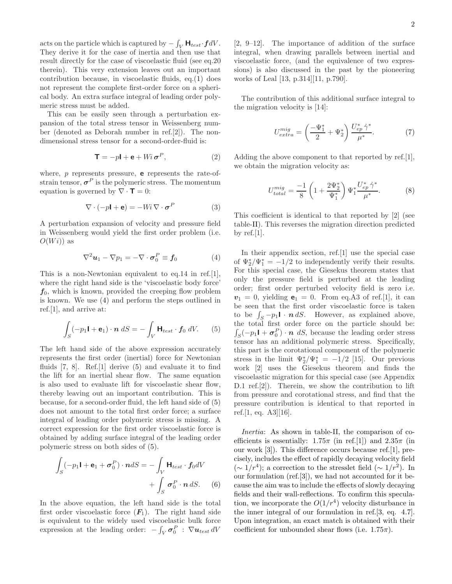acts on the particle which is captured by  $-\int_V \mathsf{H}_{test} \cdot \boldsymbol{f} dV$ . They derive it for the case of inertia and then use that result directly for the case of viscoelastic fluid (see eq.20 therein). This very extension leaves out an important contribution because, in viscoelastic fluids, eq.(1) does not represent the complete first-order force on a spherical body. An extra surface integral of leading order polymeric stress must be added.

This can be easily seen through a perturbation expansion of the total stress tensor in Weissenberg number (denoted as Deborah number in ref.[2]). The nondimensional stress tensor for a second-order-fluid is:

$$
\mathbf{T} = -p\mathbf{I} + \mathbf{e} + Wi \,\boldsymbol{\sigma}^P,\tag{2}
$$

where,  $p$  represents pressure, **e** represents the rate-ofstrain tensor,  $\sigma^P$  is the polymeric stress. The momentum equation is governed by  $\nabla \cdot \mathbf{T} = 0$ :

$$
\nabla \cdot (-p\mathbf{I} + \mathbf{e}) = -Wi \nabla \cdot \boldsymbol{\sigma}^P \tag{3}
$$

A perturbation expansion of velocity and pressure field in Weissenberg would yield the first order problem (i.e.  $O(W_i)$  as

$$
\nabla^2 \boldsymbol{u}_1 - \nabla p_1 = -\nabla \cdot \boldsymbol{\sigma}_0^P \equiv \boldsymbol{f}_0 \tag{4}
$$

This is a non-Newtonian equivalent to eq.14 in ref.[1], where the right hand side is the 'viscoelastic body force'  $f_0$ , which is known, provided the creeping flow problem is known. We use (4) and perform the steps outlined in ref.[1], and arrive at:

$$
\int_{S} (-p_1 \mathbf{I} + \mathbf{e}_1) \cdot \mathbf{n} \, dS = -\int_{V} \mathbf{H}_{test} \cdot \mathbf{f}_0 \, dV. \tag{5}
$$

The left hand side of the above expression accurately represents the first order (inertial) force for Newtonian fluids [7, 8]. Ref.[1] derive (5) and evaluate it to find the lift for an inertial shear flow. The same equation is also used to evaluate lift for viscoelastic shear flow, thereby leaving out an important contribution. This is because, for a second-order fluid, the left hand side of (5) does not amount to the total first order force; a surface integral of leading order polymeric stress is missing. A correct expression for the first order viscoelastic force is obtained by adding surface integral of the leading order polymeric stress on both sides of (5).

$$
\int_{S} (-p_1 \mathbf{I} + \mathbf{e}_1 + \boldsymbol{\sigma}_0^P) \cdot \boldsymbol{n} dS = -\int_{V} \mathbf{H}_{test} \cdot \boldsymbol{f}_0 dV
$$

$$
+ \int_{S} \boldsymbol{\sigma}_0^P \cdot \boldsymbol{n} dS. \quad (6)
$$

In the above equation, the left hand side is the total first order viscoelastic force  $(F_1)$ . The right hand side is equivalent to the widely used viscoelastic bulk force expression at the leading order:  $-\int_V \sigma_0^P$ :  $\nabla u_{test} dV$ 

[2, 9–12]. The importance of addition of the surface integral, when drawing parallels between inertial and viscoelastic force, (and the equivalence of two expressions) is also discussed in the past by the pioneering works of Leal [13, p.314][11, p.790].

The contribution of this additional surface integral to the migration velocity is [14]:

$$
U_{extra}^{mig} = \left(\frac{-\Psi_1^*}{2} + \Psi_2^*\right) \frac{U_{ep}^* \dot{\gamma}^*}{\mu^*}.
$$
 (7)

Adding the above component to that reported by ref.[1], we obtain the migration velocity as:

$$
U_{total}^{mig} = \frac{-1}{8} \left( 1 + \frac{2\Psi_2^*}{\Psi_1^*} \right) \Psi_1^* \frac{U_{ep}^* \dot{\gamma}^*}{\mu^*}.
$$
 (8)

This coefficient is identical to that reported by [2] (see table-II). This reverses the migration direction predicted by ref.  $[1]$ .

In their appendix section, ref.[1] use the special case of  $\Psi_2^*/\Psi_1^* = -1/2$  to independently verify their results. For this special case, the Giesekus theorem states that only the pressure field is perturbed at the leading order; first order perturbed velocity field is zero i.e.  $v_1 = 0$ , yielding  $e_1 = 0$ . From eq.A3 of ref.[1], it can be seen that the first order viscoelastic force is taken to be  $\int_S -p_1 \mathbf{l} \cdot \mathbf{n} dS$ . However, as explained above, the total first order force on the particle should be:  $\int_S(-p_1\mathbf{I} + \boldsymbol{\sigma}_0^P) \cdot \boldsymbol{n} dS$ , because the leading order stress tensor has an additional polymeric stress. Specifically, this part is the corotational component of the polymeric stress in the limit  $\Psi_2^*/\Psi_1^* = -1/2$  [15]. Our previous work [2] uses the Giesekus theorem and finds the viscoelastic migration for this special case (see Appendix D.1 ref.[2]). Therein, we show the contribution to lift from pressure and corotational stress, and find that the pressure contribution is identical to that reported in ref.[1, eq. A3][16].

Inertia: As shown in table-II, the comparison of coefficients is essentially:  $1.75\pi$  (in ref.[1]) and  $2.35\pi$  (in our work [3]). This difference occurs because ref.[1], precisely, includes the effect of rapidly decaying velocity field (~ 1/ $r^4$ ); a correction to the stresslet field (~ 1/ $r^2$ ). In our formulation (ref.[3]), we had not accounted for it because the aim was to include the effects of slowly decaying fields and their wall-reflections. To confirm this speculation, we incorporate the  $O(1/r^4)$  velocity disturbance in the inner integral of our formulation in ref.[3, eq. 4.7]. Upon integration, an exact match is obtained with their coefficient for unbounded shear flows (i.e.  $1.75\pi$ ).